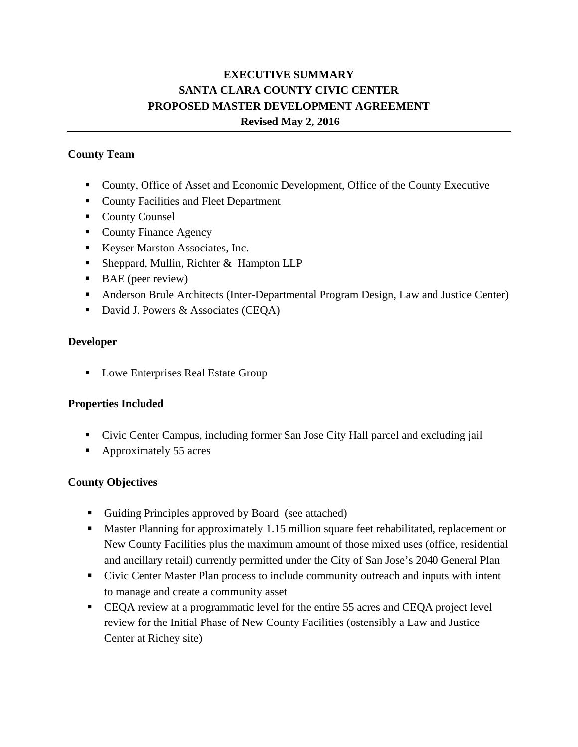# **EXECUTIVE SUMMARY SANTA CLARA COUNTY CIVIC CENTER PROPOSED MASTER DEVELOPMENT AGREEMENT Revised May 2, 2016**

## **County Team**

- County, Office of Asset and Economic Development, Office of the County Executive
- County Facilities and Fleet Department
- County Counsel
- County Finance Agency
- Keyser Marston Associates, Inc.
- Sheppard, Mullin, Richter & Hampton LLP
- $\blacksquare$  BAE (peer review)
- Anderson Brule Architects (Inter-Departmental Program Design, Law and Justice Center)
- David J. Powers  $&$  Associates (CEQA)

#### **Developer**

**Lowe Enterprises Real Estate Group** 

## **Properties Included**

- Civic Center Campus, including former San Jose City Hall parcel and excluding jail
- Approximately 55 acres

## **County Objectives**

- Guiding Principles approved by Board (see attached)
- **Master Planning for approximately 1.15 million square feet rehabilitated, replacement or** New County Facilities plus the maximum amount of those mixed uses (office, residential and ancillary retail) currently permitted under the City of San Jose's 2040 General Plan
- Civic Center Master Plan process to include community outreach and inputs with intent to manage and create a community asset
- CEQA review at a programmatic level for the entire 55 acres and CEQA project level review for the Initial Phase of New County Facilities (ostensibly a Law and Justice Center at Richey site)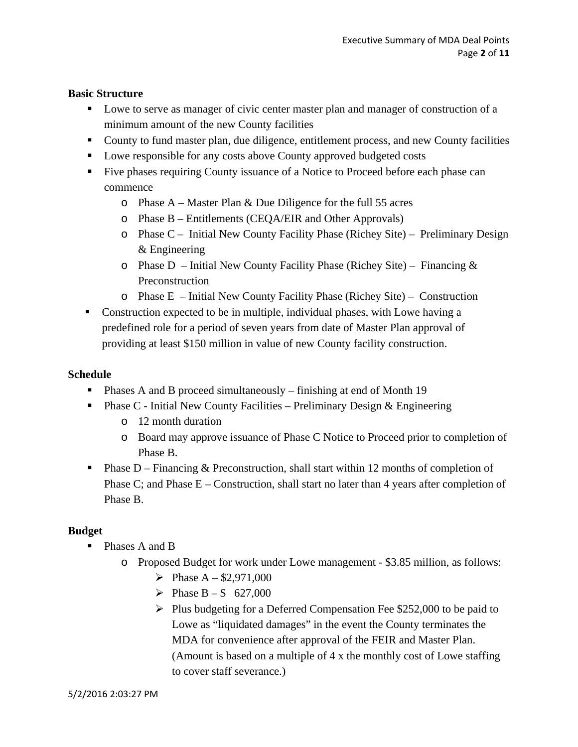#### **Basic Structure**

- **Lowe to serve as manager of civic center master plan and manager of construction of a** minimum amount of the new County facilities
- County to fund master plan, due diligence, entitlement process, and new County facilities
- Lowe responsible for any costs above County approved budgeted costs
- Five phases requiring County issuance of a Notice to Proceed before each phase can commence
	- o Phase A Master Plan & Due Diligence for the full 55 acres
	- o Phase B Entitlements (CEQA/EIR and Other Approvals)
	- o Phase C Initial New County Facility Phase (Richey Site) Preliminary Design & Engineering
	- $\circ$  Phase D Initial New County Facility Phase (Richey Site) Financing & Preconstruction
	- o Phase E Initial New County Facility Phase (Richey Site) Construction
- Construction expected to be in multiple, individual phases, with Lowe having a predefined role for a period of seven years from date of Master Plan approval of providing at least \$150 million in value of new County facility construction.

#### **Schedule**

- **Phases A and B proceed simultaneously finishing at end of Month 19**
- **Phase C Initial New County Facilities Preliminary Design & Engineering** 
	- o 12 month duration
	- o Board may approve issuance of Phase C Notice to Proceed prior to completion of Phase B.
- **Phase D** Financing & Preconstruction, shall start within 12 months of completion of Phase C; and Phase  $E -$ Construction, shall start no later than 4 years after completion of Phase B.

## **Budget**

- Phases A and B
	- o Proposed Budget for work under Lowe management \$3.85 million, as follows:
		- Phase  $A $2,971,000$
		- Phase  $B $ 627,000$
		- $\triangleright$  Plus budgeting for a Deferred Compensation Fee \$252,000 to be paid to Lowe as "liquidated damages" in the event the County terminates the MDA for convenience after approval of the FEIR and Master Plan. (Amount is based on a multiple of 4 x the monthly cost of Lowe staffing to cover staff severance.)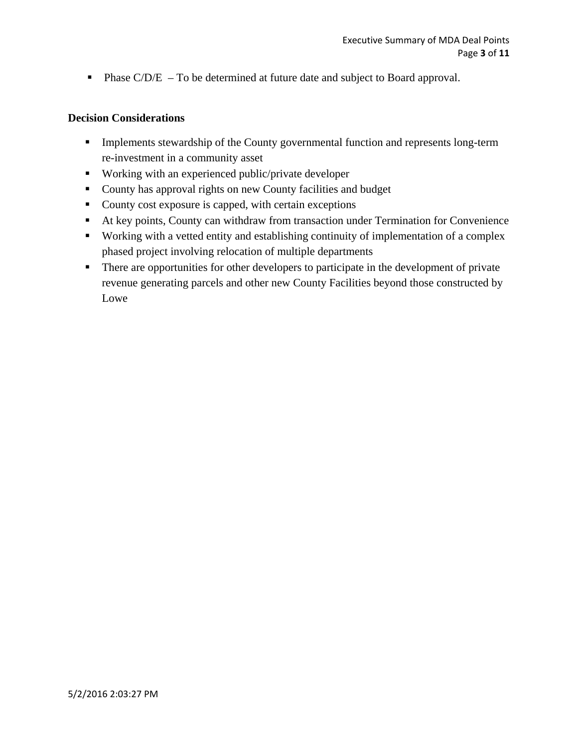**Phase C/D/E** – To be determined at future date and subject to Board approval.

#### **Decision Considerations**

- **Implements stewardship of the County governmental function and represents long-term** re-investment in a community asset
- Working with an experienced public/private developer
- County has approval rights on new County facilities and budget
- County cost exposure is capped, with certain exceptions
- At key points, County can withdraw from transaction under Termination for Convenience
- Working with a vetted entity and establishing continuity of implementation of a complex phased project involving relocation of multiple departments
- There are opportunities for other developers to participate in the development of private revenue generating parcels and other new County Facilities beyond those constructed by Lowe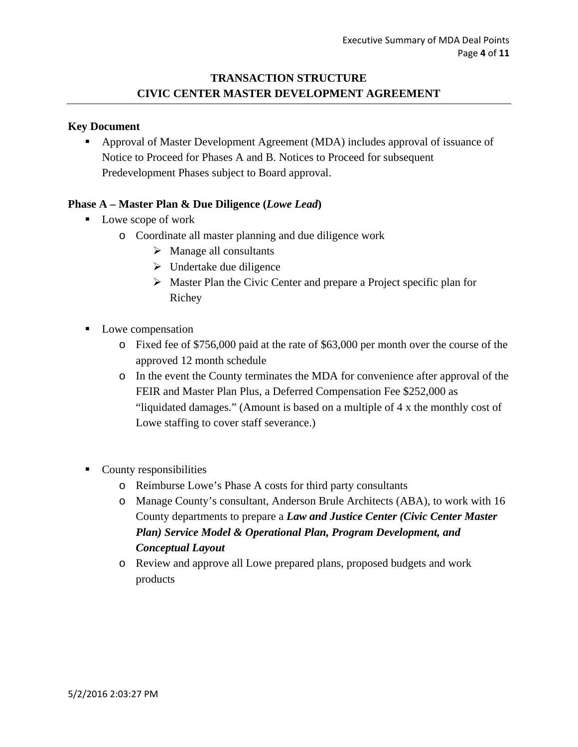## **TRANSACTION STRUCTURE CIVIC CENTER MASTER DEVELOPMENT AGREEMENT**

#### **Key Document**

 Approval of Master Development Agreement (MDA) includes approval of issuance of Notice to Proceed for Phases A and B. Notices to Proceed for subsequent Predevelopment Phases subject to Board approval.

#### **Phase A – Master Plan & Due Diligence (***Lowe Lead***)**

- Lowe scope of work
	- o Coordinate all master planning and due diligence work
		- $\triangleright$  Manage all consultants
		- $\triangleright$  Undertake due diligence
		- $\triangleright$  Master Plan the Civic Center and prepare a Project specific plan for Richey
- Lowe compensation
	- o Fixed fee of \$756,000 paid at the rate of \$63,000 per month over the course of the approved 12 month schedule
	- o In the event the County terminates the MDA for convenience after approval of the FEIR and Master Plan Plus, a Deferred Compensation Fee \$252,000 as "liquidated damages." (Amount is based on a multiple of 4 x the monthly cost of Lowe staffing to cover staff severance.)
- County responsibilities
	- o Reimburse Lowe's Phase A costs for third party consultants
	- o Manage County's consultant, Anderson Brule Architects (ABA), to work with 16 County departments to prepare a *Law and Justice Center (Civic Center Master Plan) Service Model & Operational Plan, Program Development, and Conceptual Layout*
	- o Review and approve all Lowe prepared plans, proposed budgets and work products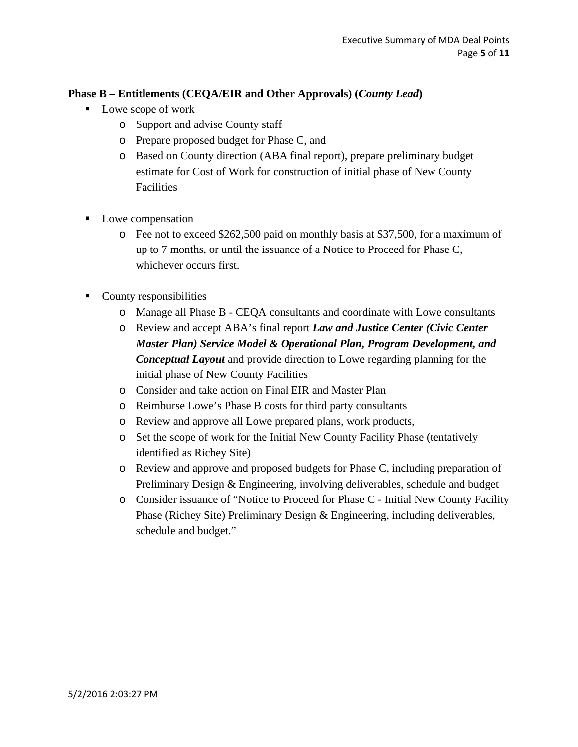## **Phase B – Entitlements (CEQA/EIR and Other Approvals) (***County Lead***)**

- Lowe scope of work
	- o Support and advise County staff
	- o Prepare proposed budget for Phase C, and
	- o Based on County direction (ABA final report), prepare preliminary budget estimate for Cost of Work for construction of initial phase of New County **Facilities**
- Lowe compensation
	- o Fee not to exceed \$262,500 paid on monthly basis at \$37,500, for a maximum of up to 7 months, or until the issuance of a Notice to Proceed for Phase C, whichever occurs first.
- County responsibilities
	- o Manage all Phase B CEQA consultants and coordinate with Lowe consultants
	- o Review and accept ABA's final report *Law and Justice Center (Civic Center Master Plan) Service Model & Operational Plan, Program Development, and Conceptual Layout* and provide direction to Lowe regarding planning for the initial phase of New County Facilities
	- o Consider and take action on Final EIR and Master Plan
	- o Reimburse Lowe's Phase B costs for third party consultants
	- o Review and approve all Lowe prepared plans, work products,
	- o Set the scope of work for the Initial New County Facility Phase (tentatively identified as Richey Site)
	- o Review and approve and proposed budgets for Phase C, including preparation of Preliminary Design & Engineering, involving deliverables, schedule and budget
	- o Consider issuance of "Notice to Proceed for Phase C Initial New County Facility Phase (Richey Site) Preliminary Design & Engineering, including deliverables, schedule and budget."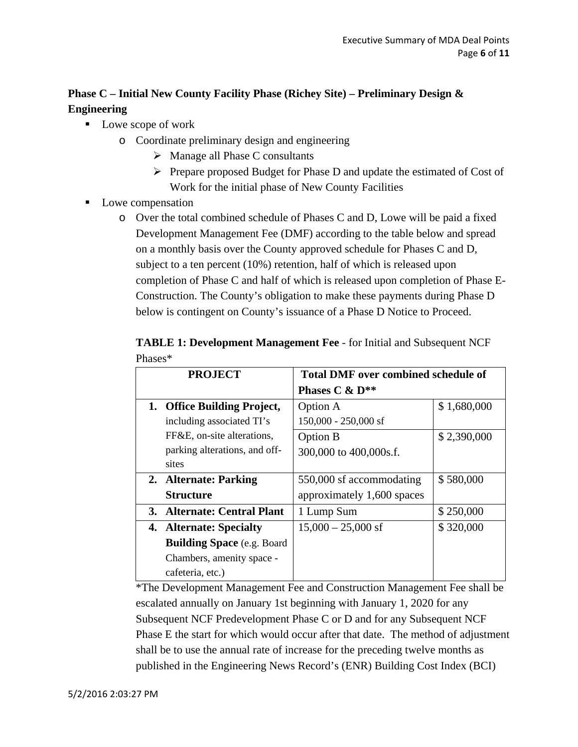# **Phase C – Initial New County Facility Phase (Richey Site) – Preliminary Design & Engineering**

- Lowe scope of work
	- o Coordinate preliminary design and engineering
		- $\triangleright$  Manage all Phase C consultants
		- $\triangleright$  Prepare proposed Budget for Phase D and update the estimated of Cost of Work for the initial phase of New County Facilities
- **Lowe compensation** 
	- o Over the total combined schedule of Phases C and D, Lowe will be paid a fixed Development Management Fee (DMF) according to the table below and spread on a monthly basis over the County approved schedule for Phases C and D, subject to a ten percent (10%) retention, half of which is released upon completion of Phase C and half of which is released upon completion of Phase E-Construction. The County's obligation to make these payments during Phase D below is contingent on County's issuance of a Phase D Notice to Proceed.

| <b>PROJECT</b>                     | <b>Total DMF over combined schedule of</b> |             |
|------------------------------------|--------------------------------------------|-------------|
|                                    | Phases $C$ & $D^{**}$                      |             |
| 1. Office Building Project,        | <b>Option A</b>                            | \$1,680,000 |
| including associated TI's          | $150,000 - 250,000$ sf                     |             |
| FF&E, on-site alterations,         | Option B                                   | \$2,390,000 |
| parking alterations, and off-      | 300,000 to 400,000s.f.                     |             |
| sites                              |                                            |             |
| 2. Alternate: Parking              | 550,000 sf accommodating                   | \$580,000   |
| Structure                          | approximately 1,600 spaces                 |             |
| 3. Alternate: Central Plant        | 1 Lump Sum                                 | \$250,000   |
| 4. Alternate: Specialty            | $15,000 - 25,000$ sf                       | \$320,000   |
| <b>Building Space</b> (e.g. Board) |                                            |             |
| Chambers, amenity space -          |                                            |             |
| cafeteria, etc.)                   |                                            |             |

**TABLE 1: Development Management Fee** - for Initial and Subsequent NCF Phases\*

\*The Development Management Fee and Construction Management Fee shall be escalated annually on January 1st beginning with January 1, 2020 for any Subsequent NCF Predevelopment Phase C or D and for any Subsequent NCF Phase E the start for which would occur after that date. The method of adjustment shall be to use the annual rate of increase for the preceding twelve months as published in the Engineering News Record's (ENR) Building Cost Index (BCI)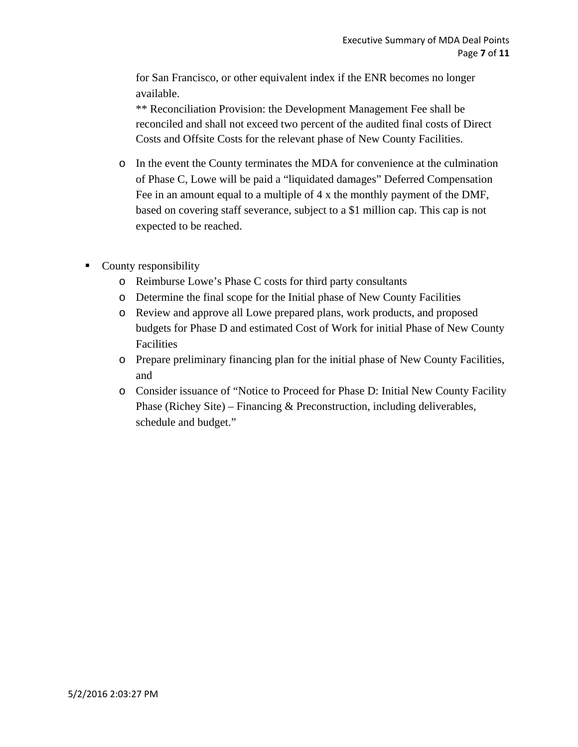for San Francisco, or other equivalent index if the ENR becomes no longer available.

\*\* Reconciliation Provision: the Development Management Fee shall be reconciled and shall not exceed two percent of the audited final costs of Direct Costs and Offsite Costs for the relevant phase of New County Facilities.

- o In the event the County terminates the MDA for convenience at the culmination of Phase C, Lowe will be paid a "liquidated damages" Deferred Compensation Fee in an amount equal to a multiple of 4 x the monthly payment of the DMF, based on covering staff severance, subject to a \$1 million cap. This cap is not expected to be reached.
- County responsibility
	- o Reimburse Lowe's Phase C costs for third party consultants
	- o Determine the final scope for the Initial phase of New County Facilities
	- o Review and approve all Lowe prepared plans, work products, and proposed budgets for Phase D and estimated Cost of Work for initial Phase of New County Facilities
	- o Prepare preliminary financing plan for the initial phase of New County Facilities, and
	- o Consider issuance of "Notice to Proceed for Phase D: Initial New County Facility Phase (Richey Site) – Financing & Preconstruction, including deliverables, schedule and budget."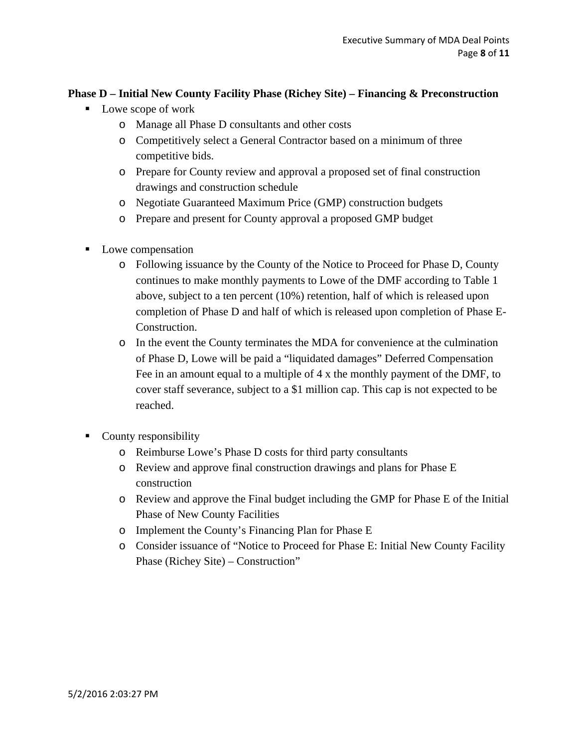## **Phase D – Initial New County Facility Phase (Richey Site) – Financing & Preconstruction**

- Lowe scope of work
	- o Manage all Phase D consultants and other costs
	- o Competitively select a General Contractor based on a minimum of three competitive bids.
	- o Prepare for County review and approval a proposed set of final construction drawings and construction schedule
	- o Negotiate Guaranteed Maximum Price (GMP) construction budgets
	- o Prepare and present for County approval a proposed GMP budget
- Lowe compensation
	- o Following issuance by the County of the Notice to Proceed for Phase D, County continues to make monthly payments to Lowe of the DMF according to Table 1 above, subject to a ten percent (10%) retention, half of which is released upon completion of Phase D and half of which is released upon completion of Phase E-Construction.
	- o In the event the County terminates the MDA for convenience at the culmination of Phase D, Lowe will be paid a "liquidated damages" Deferred Compensation Fee in an amount equal to a multiple of 4 x the monthly payment of the DMF, to cover staff severance, subject to a \$1 million cap. This cap is not expected to be reached.
- County responsibility
	- o Reimburse Lowe's Phase D costs for third party consultants
	- o Review and approve final construction drawings and plans for Phase E construction
	- o Review and approve the Final budget including the GMP for Phase E of the Initial Phase of New County Facilities
	- o Implement the County's Financing Plan for Phase E
	- o Consider issuance of "Notice to Proceed for Phase E: Initial New County Facility Phase (Richey Site) – Construction"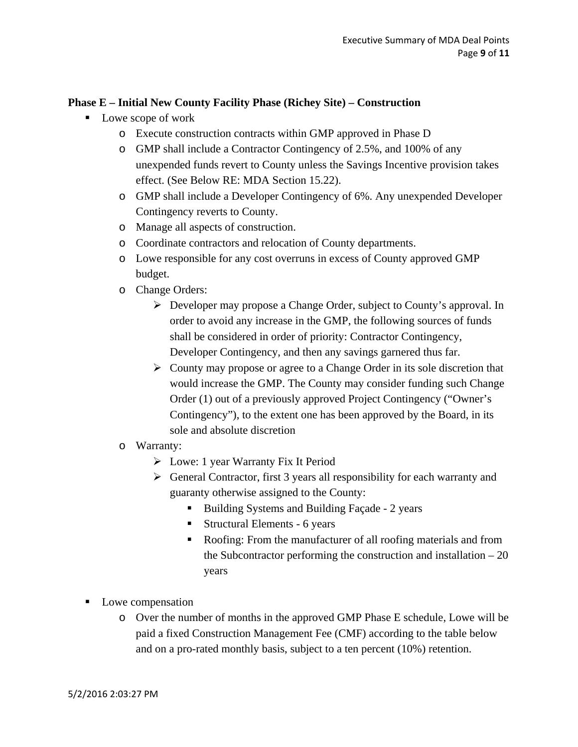### **Phase E – Initial New County Facility Phase (Richey Site) – Construction**

- Lowe scope of work
	- o Execute construction contracts within GMP approved in Phase D
	- o GMP shall include a Contractor Contingency of 2.5%, and 100% of any unexpended funds revert to County unless the Savings Incentive provision takes effect. (See Below RE: MDA Section 15.22).
	- o GMP shall include a Developer Contingency of 6%. Any unexpended Developer Contingency reverts to County.
	- o Manage all aspects of construction.
	- o Coordinate contractors and relocation of County departments.
	- o Lowe responsible for any cost overruns in excess of County approved GMP budget.
	- o Change Orders:
		- Developer may propose a Change Order, subject to County's approval. In order to avoid any increase in the GMP, the following sources of funds shall be considered in order of priority: Contractor Contingency, Developer Contingency, and then any savings garnered thus far.
		- $\triangleright$  County may propose or agree to a Change Order in its sole discretion that would increase the GMP. The County may consider funding such Change Order (1) out of a previously approved Project Contingency ("Owner's Contingency"), to the extent one has been approved by the Board, in its sole and absolute discretion
	- o Warranty:
		- $\triangleright$  Lowe: 1 year Warranty Fix It Period
		- $\triangleright$  General Contractor, first 3 years all responsibility for each warranty and guaranty otherwise assigned to the County:
			- Building Systems and Building Façade 2 years
			- Structural Elements 6 years
			- Roofing: From the manufacturer of all roofing materials and from the Subcontractor performing the construction and installation  $-20$ years
- **Lowe compensation** 
	- o Over the number of months in the approved GMP Phase E schedule, Lowe will be paid a fixed Construction Management Fee (CMF) according to the table below and on a pro-rated monthly basis, subject to a ten percent (10%) retention.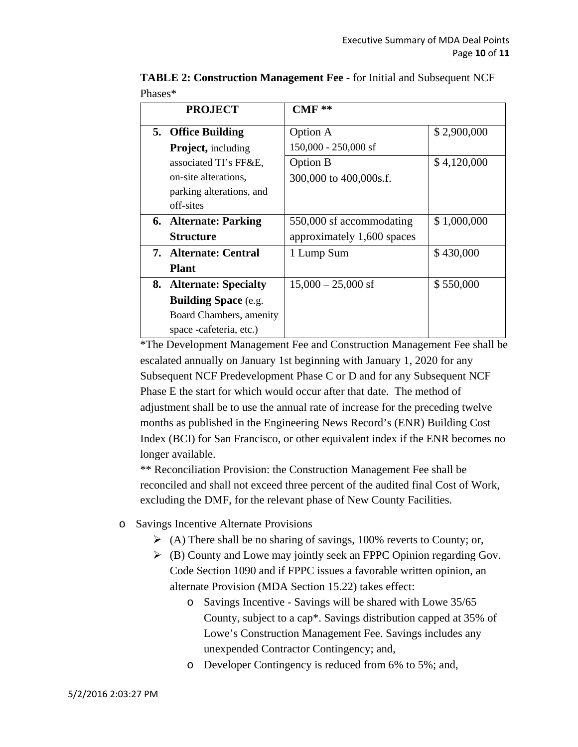| <b>PROJECT</b>              | $CMF**$                    |             |
|-----------------------------|----------------------------|-------------|
| 5. Office Building          | Option A                   | \$2,900,000 |
| <b>Project, including</b>   | 150,000 - 250,000 sf       |             |
| associated TI's FF&E,       | <b>Option B</b>            | \$4,120,000 |
| on-site alterations,        | 300,000 to 400,000s.f.     |             |
| parking alterations, and    |                            |             |
| off-sites                   |                            |             |
| 6. Alternate: Parking       | 550,000 sf accommodating   | \$1,000,000 |
| Structure                   | approximately 1,600 spaces |             |
| 7. Alternate: Central       | 1 Lump Sum                 | \$430,000   |
| <b>Plant</b>                |                            |             |
| 8. Alternate: Specialty     | $15,000 - 25,000$ sf       | \$550,000   |
| <b>Building Space (e.g.</b> |                            |             |
| Board Chambers, amenity     |                            |             |
| space -cafeteria, etc.)     |                            |             |

**TABLE 2: Construction Management Fee** - for Initial and Subsequent NCF Phases\*

\*The Development Management Fee and Construction Management Fee shall be escalated annually on January 1st beginning with January 1, 2020 for any Subsequent NCF Predevelopment Phase C or D and for any Subsequent NCF Phase E the start for which would occur after that date. The method of adjustment shall be to use the annual rate of increase for the preceding twelve months as published in the Engineering News Record's (ENR) Building Cost Index (BCI) for San Francisco, or other equivalent index if the ENR becomes no longer available.

\*\* Reconciliation Provision: the Construction Management Fee shall be reconciled and shall not exceed three percent of the audited final Cost of Work, excluding the DMF, for the relevant phase of New County Facilities.

- o Savings Incentive Alternate Provisions
	- $\triangleright$  (A) There shall be no sharing of savings, 100% reverts to County; or,
	- $\triangleright$  (B) County and Lowe may jointly seek an FPPC Opinion regarding Gov. Code Section 1090 and if FPPC issues a favorable written opinion, an alternate Provision (MDA Section 15.22) takes effect:
		- o Savings Incentive Savings will be shared with Lowe 35/65 County, subject to a cap\*. Savings distribution capped at 35% of Lowe's Construction Management Fee. Savings includes any unexpended Contractor Contingency; and,
		- o Developer Contingency is reduced from 6% to 5%; and,